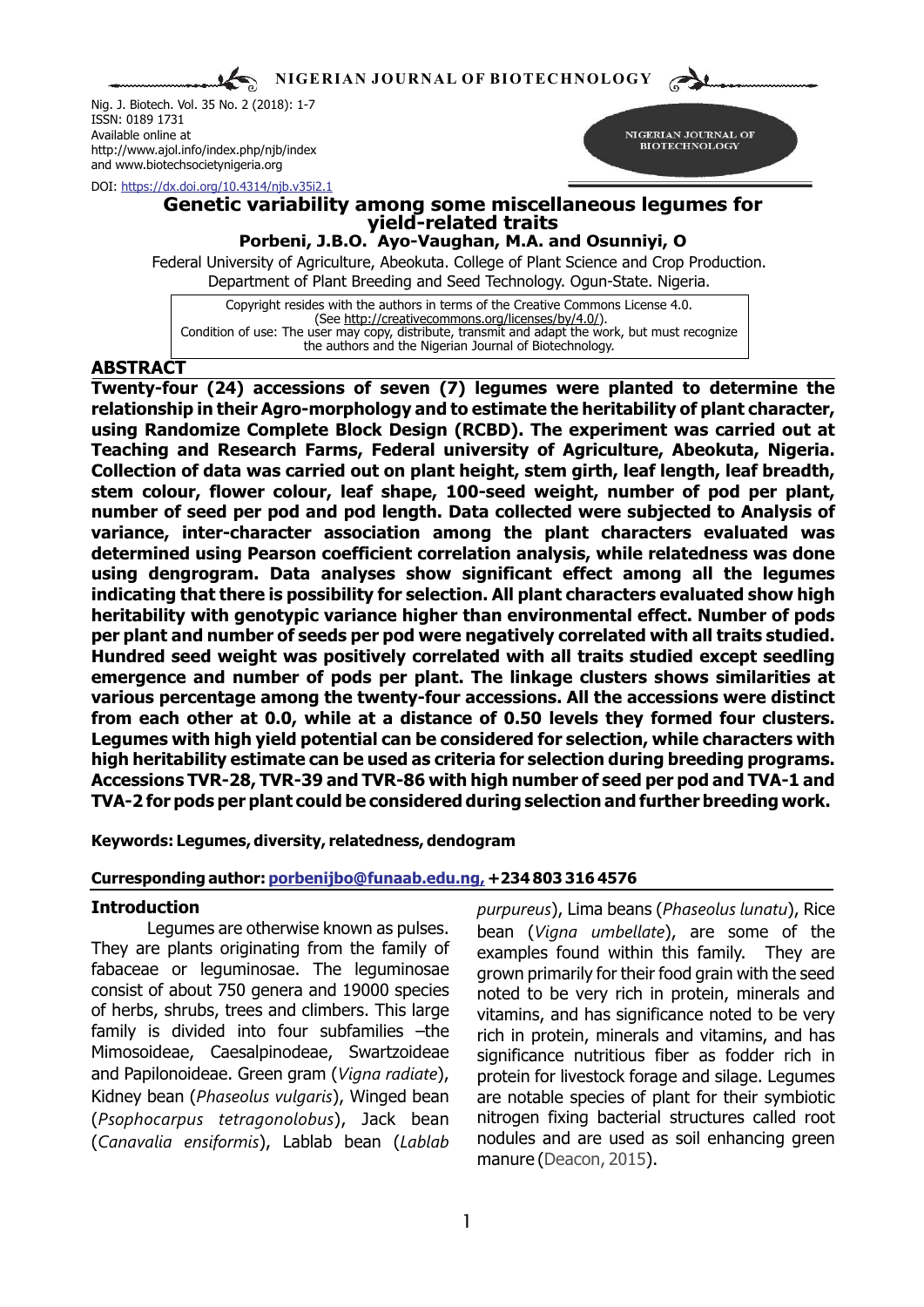**NIGERIAN JOURNAL OF BIOTECHNOLOGY**

Nig. J. Biotech. Vol. 35 No. 2 (2018): 1-7 ISSN: 0189 1731 Available online at http://www.ajol.info/index.php/njb/index and www.biotechsocietynigeria.org

NIGERIAN JOURNAL OF **BIOTECHNOLOGY** 

DOI: https://dx.doi.org/10.4314/njb.v35i2.1

### **Genetic variability among some miscellaneous legumes for yield-related traits Porbeni, J.B.O. Ayo-Vaughan, M.A. and Osunniyi, O**

Federal University of Agriculture, Abeokuta. College of Plant Science and Crop Production. Department of Plant Breeding and Seed Technology. Ogun-State. Nigeria.

Copyright resides with the authors in terms of the Creative Commons License 4.0. (See http://creativecommons.org/licenses/by/4.0/). Condition of use: The user may copy, distribute, transmit and adapt the work, but must recognize the authors and the Nigerian Journal of Biotechnology.

## **ABSTRACT**

**Twenty-four (24) accessions of seven (7) legumes were planted to determine the relationship in their Agro-morphology and to estimate the heritability of plant character, using Randomize Complete Block Design (RCBD). The experiment was carried out at Teaching and Research Farms, Federal university of Agriculture, Abeokuta, Nigeria. Collection of data was carried out on plant height, stem girth, leaf length, leaf breadth, stem colour, flower colour, leaf shape, 100-seed weight, number of pod per plant, number of seed per pod and pod length. Data collected were subjected to Analysis of variance, inter-character association among the plant characters evaluated was determined using Pearson coefficient correlation analysis, while relatedness was done using dengrogram. Data analyses show significant effect among all the legumes indicating that there is possibility for selection. All plant characters evaluated show high heritability with genotypic variance higher than environmental effect. Number of pods per plant and number of seeds per pod were negatively correlated with all traits studied. Hundred seed weight was positively correlated with all traits studied except seedling emergence and number of pods per plant. The linkage clusters shows similarities at various percentage among the twenty-four accessions. All the accessions were distinct from each other at 0.0, while at a distance of 0.50 levels they formed four clusters. Legumes with high yield potential can be considered for selection, while characters with high heritability estimate can be used as criteria for selection during breeding programs. Accessions TVR-28, TVR-39 and TVR-86 with high number of seed per pod and TVA-1 and TVA-2 for pods per plant could be considered during selection and further breeding work.**

**Keywords: Legumes, diversity, relatedness, dendogram**

### **Curresponding author: porbenijbo@funaab.edu.ng, +234 803 316 4576**

They are plants originating from the family of examples found within this family. They are fabaceae or leguminosae. The leguminosae  $\frac{1}{2}$  arown primarily for their food grain with the seed fabaceae or leguminosae. The leguminosae grown primarily for their food grain with the seed<br>consist of about 750 genera and 19000 species noted to be very rich in protein, minerals and consist of about 750 genera and 19000 species and to be very rich in protein, minerals and<br>of herbs, shrubs, trees and climbers. This large a vitaming and has significance noted to be very of herbs, shrubs, trees and climbers. This large vitamins, and has significance noted to be very<br>
family is divided into four subfamilies –the vich in protein minerals and vitamins, and has family is divided into four subfamilies –the rich in protein, minerals and vitamins, and has<br>Mimosoideae, Caesalpinodeae, Swartzoideae significance putritious fiber as fodder rich in Mimosoideae, Caesalpinodeae, Swartzoideae significance nutritious fiber as fodder rich in<br>and Papilonoideae. Green gram (*Vigna radiate*), protein for livestock forage and silage. Legumes Kidney bean (*Phaseolus vulgaris*), Winged bean are notable species of plant for their symbiotic (*Psophocarpus tetragonolobus*), Jack bean nitrogen fixing bacterial structures called root (*Canavalia ensiformis*), Lablab bean (*Lablab* nodules and are used as soil enhancing green

**Introduction** *purpureus*), Lima beans (*Phaseolus lunatu*), Rice Legumes are otherwise known as pulses. bean (*Vigna umbellate*), are some of the protein for livestock forage and silage. Legumes manure (Deacon, 2015).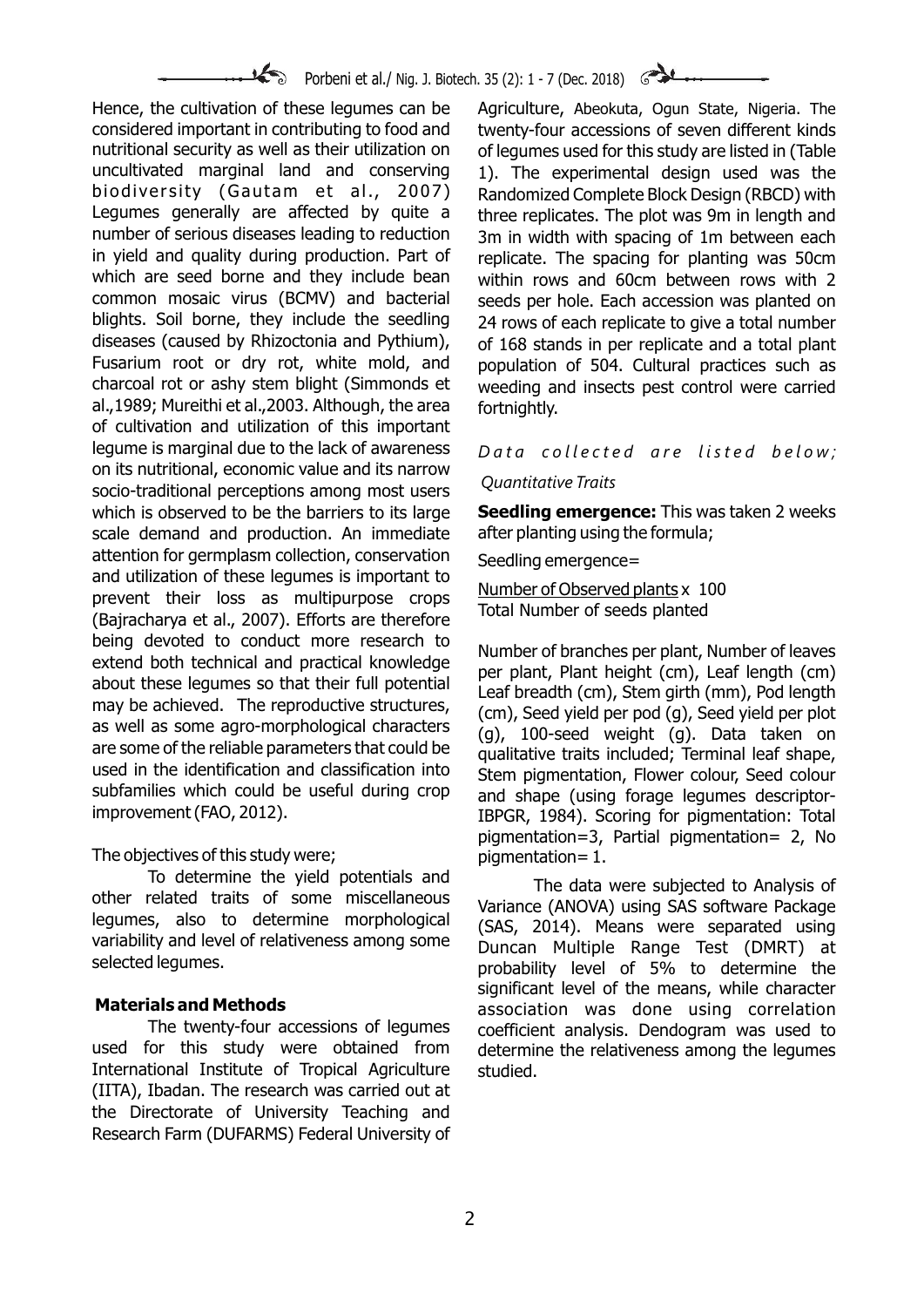# Porbeni et al./ Nig. J. Biotech. 35 (2): 1 - 7 (Dec. 2018)

considered important in contributing to food and twenty-four accessions of seven different kinds nutritional security as well as their utilization on of legumes used for this study are listed in (Table uncultivated marginal land and conserving 1). The experimental design used was the biodiversity (Gautam et al., 2007) Randomized Complete Block Design (RBCD) with Legumes generally are affected by quite a three replicates. The plot was 9m in length and<br>number of serious diseases leading to reduction am in width with spacing of 1m between each number of serious diseases leading to reduction and small midth with spacing of 1m between each<br>The spacing for planting or the production. Part of a replicate the spacing for planting was 50cm in yield and quality during production. Part of replicate. The spacing for planting was 50cm<br>which are seed borne and they include bean a within rows and 60cm between rows with 2 which are seed borne and they include bean within rows and 60cm between rows with 2<br>common mosaic virus (BCMV) and bacterial seeds per hole Fach accession was planted on common mosaic virus (BCMV) and bacterial seeds per hole. Each accession was planted on<br>blights. Soil borne, they include the seedling 24 rows of each replicate to give a total number diseases (caused by Rhizoctonia and Pythium), of 168 stands in per replicate and a total plant Fusarium root or dry rot, white mold, and population of 504. Cultural practices such as charcoal rot or ashy stem blight (Simmonds et weeding and insects pest control were carried al., 1989; Mureithi et al., 2003. Although, the area fortnightly. of cultivation and utilization of this important legume is marginal due to the lack of awareness *Data collected are listed below:* on its nutritional, economic value and its narrow *Quantitative Traits* socio-traditional perceptions among most users which is observed to be the barriers to its large **Seedling emergence:** This was taken 2 weeks scale demand and production. An immediate after planting using the formula; attention for germplasm collection, conservation Seedling emergence=<br>and utilization of these legumes is important to prevent their loss as multipurpose crops<br>
(Bajracharya et al., 2007). Efforts are therefore Total Number of seeds planted (Bajracharya et al., 2007). Efforts are therefore being devoted to conduct more research to<br>extend both technical and practical knowledge<br>about these legumes so that their full potential<br>may be achieved. The reproductive structures,<br>may be achieved. The reproductive struc They be achieved. The reproductive structures,  $\frac{1}{2}$  (cm), Seed yield per pod (g), Seed yield per plot as well as some agro-morphological characters  $\frac{1}{2}$  (g), 100-seed weight (g). Data taken on are some of the re are some of the reliable parameters that could be qualitative traits included; Terminal leaf shape,<br>used in the identification and classification into stem nigmentation. Flower colour Seed colour used in the identification and classification into Stem pigmentation, Flower colour, Seed colour<br>subfamilies which could be useful during crop sand shane (using forage lequines descriptorsubfamilies which could be useful during crop and shape (using forage legumes descriptor-<br>improvement(FAO, 2012). The same result in the same results in the secoring for pigmentation: Total

The objectives of this study were;<br>To determine the yield potentials and  $\tau_{\text{ph}}$  atte The data were subjected to Analysis of other related traits of some miscellaneous<br>Cother related traits of some miscellaneous Variance (ANOVA) using SAS software Package legumes, also to determine morphological (SAS, 2014). Means were separated using<br>variability and level of relativeness among some Dungan Multiple Range Test (DMRT) at variability and level of relativeness among some Duncan Multiple Range Test (DMRT) at

The twenty-four accessions of legumes coefficient analysis. Dendogram was used to<br>used for this study were obtained from determine the relativeness among the legumes International Institute of Tropical Agriculture studied. (IITA), Ibadan. The research was carried out at the Directorate of University Teaching and Research Farm (DUFARMS) Federal University of

Hence, the cultivation of these legumes can be Agriculture, Abeokuta, Ogun State, Nigeria. The 24 rows of each replicate to give a total number weeding and insects pest control were carried

IBPGR, 1984). Scoring for pigmentation: Total pigmentation=3, Partial pigmentation= 2, No

probability level of 5% to determine the significant level of the means, while character **Materials and Methods**<br>The twenty-four accessions of legumes coefficient analysis. Dendogram was used to determine the relativeness among the legumes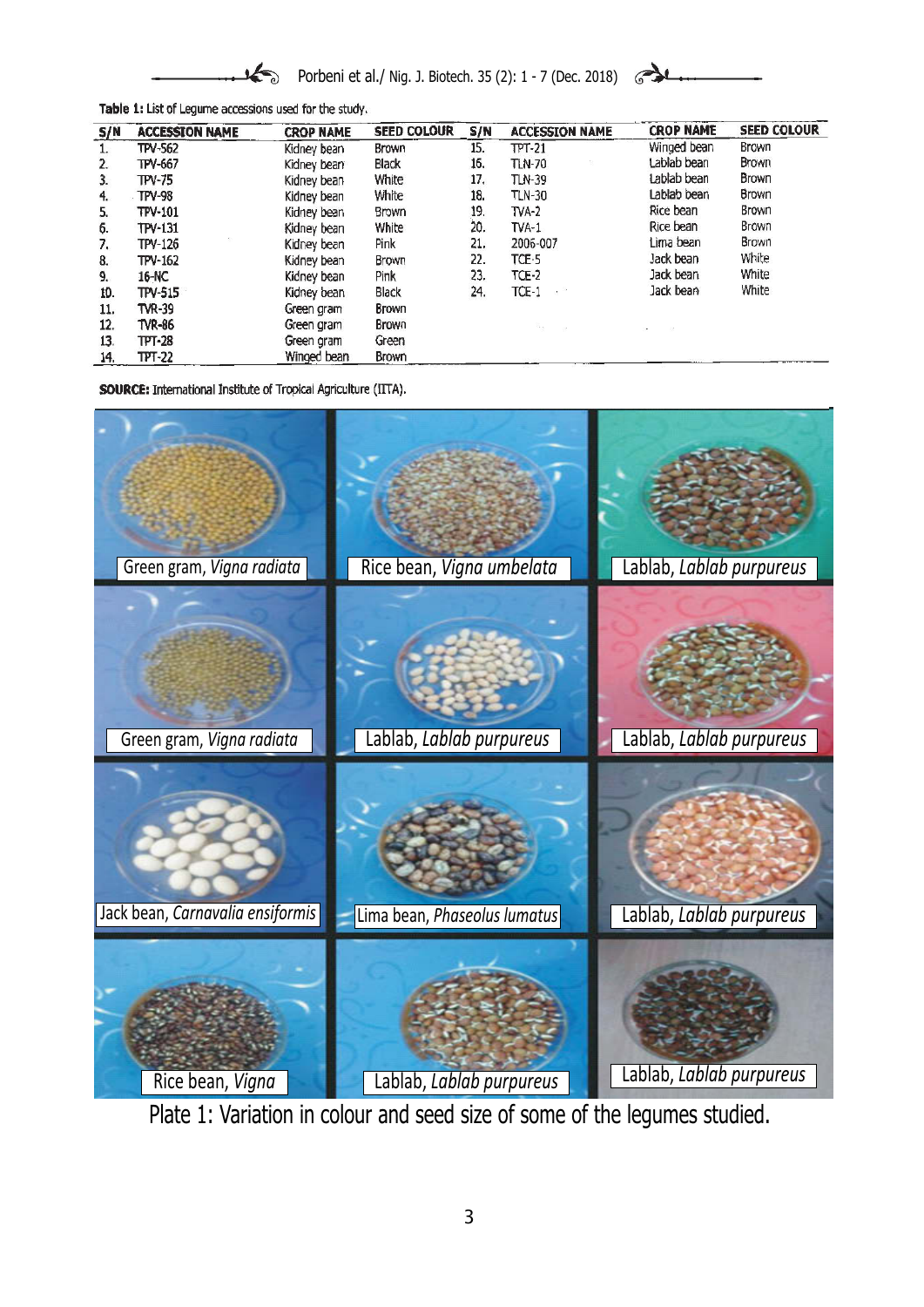

Porbeni et al./ Nig. J. Biotech. 35 (2): 1 - 7 (Dec. 2018)



Table 1: List of Legume accessions used for the study.

| S/N | <b>ACCESSION NAME</b> | <b>CROP NAME</b> | <b>SEED COLOUR</b> | S/N | <b>ACCESSION NAME</b> | <b>CROP NAME</b> | <b>SEED COLOUR</b> |
|-----|-----------------------|------------------|--------------------|-----|-----------------------|------------------|--------------------|
| ı.  | <b>TPV-562</b>        | Kidney bean      | Brown              | 15. | $TT-21$               | Winged bean      | Brown              |
| 2.  | TPV-667               | Kidney bean      | <b>Black</b>       | 16. | <b>TLN-70</b>         | Lablab bean      | <b>Brown</b>       |
| 3.  | TPV-75                | Kidney bean      | <b>White</b>       | 17. | TLN-39                | Lablab bean      | Brown              |
| 4.  | TPV-98                | Kidney bean      | White              | 18. | <b>TLN-30</b>         | Lablab bean      | <b>Brown</b>       |
| 5.  | TPV-101               | Kidney bean      | <b>Brown</b>       | 19. | $TVA-2$               | Rice bean        | Brown              |
| 6.  | TPV-131               | Kidney bean      | White              | 20. | $TVA-1$               | Rice bean        | <b>Brown</b>       |
| 7.  | TPV-126               | Kidney bean      | Pink               | 21. | 2006-007              | Lima bean        | Brown              |
| 8.  | TPV-162               | Kidney bean      | Brown              | 22. | TCE-5                 | Jack bean        | White              |
| 9.  | 16-NC                 | Kidney bean      | <b>Pink</b>        | 23. | $TCE-2$               | Jack bean        | White              |
| 10. | TPV-515               | Kidney bean      | <b>Black</b>       | 24. | $TCF-1$<br>ಿ          | Jack bean        | White              |
| 11. | TVR-39                | Green gram       | Brown              |     |                       |                  |                    |
| 12. | TVR-86                | Green gram       | <b>Brown</b>       |     | ×.                    |                  |                    |
| 13. | TPT-28                | Green gram       | Green              |     |                       |                  |                    |
| 14. | $TT-22$               | Winged bean      | Brown              |     |                       |                  |                    |

**SOURCE:** International Institute of Tropical Agriculture (IITA).



Plate 1: Variation in colour and seed size of some of the legumes studied.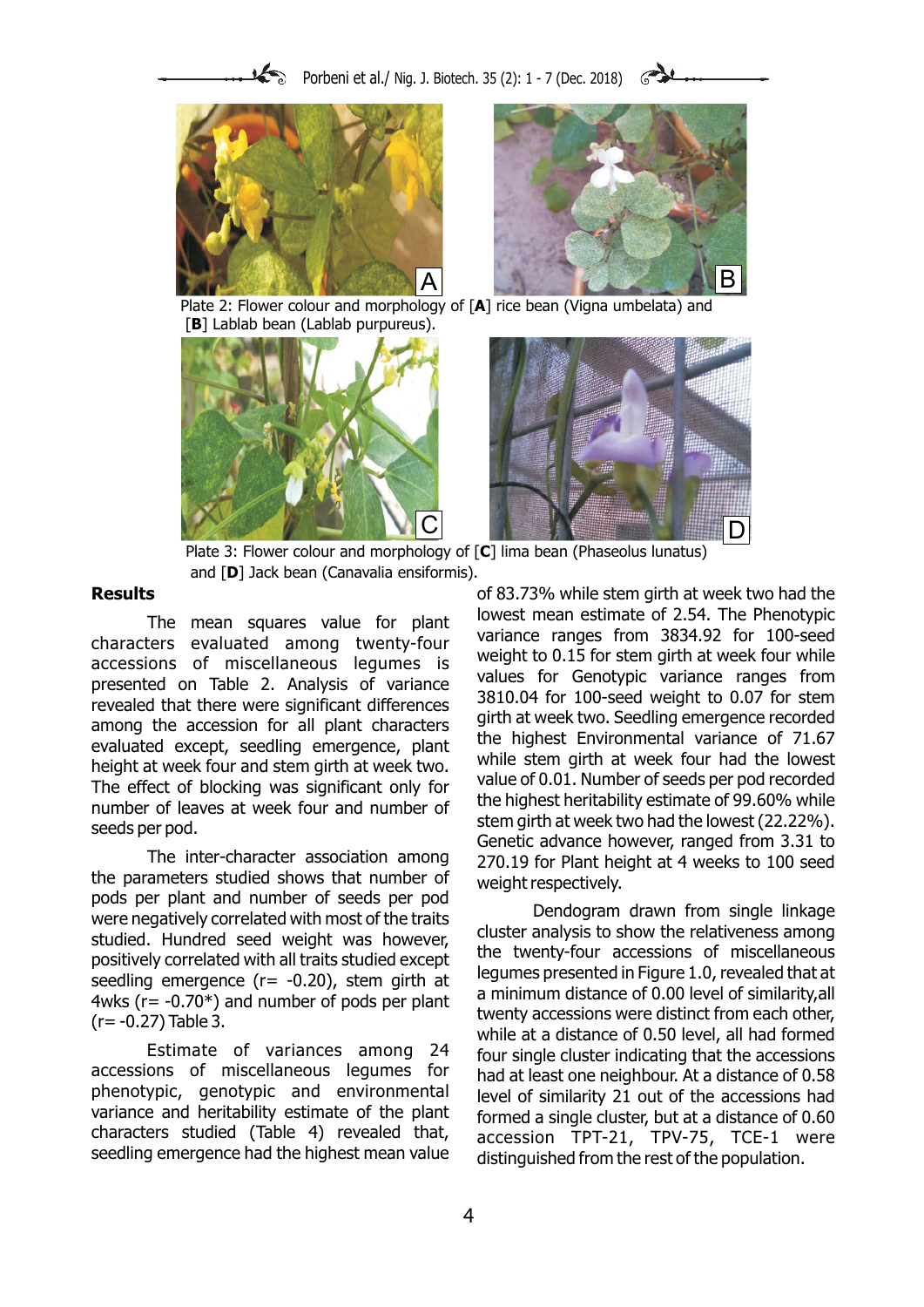



Plate 2: Flower colour and morphology of [**A**] rice bean (Vigna umbelata) and [B] Lablab bean (Lablab purpureus).





Plate 3: Flower colour and morphology of [**C**] lima bean (Phaseolus lunatus) and [**D**] Jack bean (Canavalia ensiformis).

the parameters studied shows that number of weight respectively.<br>pods per plant and number of seeds per pod

Estimate of variances among 24 four single cluster indicating that the accessions<br>accessions of miscellaneous legumes for bad at least one peighbour. At a distance of 0.58 accessions of miscellaneous legumes for had at least one neighbour. At a distance of 0.58<br>At phenotypic, genotypic and environmental level of similarity 21 out of the accessions had phenotypic, genotypic and environmental level of similarity 21 out of the accessions had<br>variance and heritability estimate of the plant formed a single cluster but at a distance of 0.60 variance and heritability estimate of the plant formed a single cluster, but at a distance of 0.60<br>characters studied (Table 4) revealed that, accession TPT-21, TPV-75, TCE-1, were characters studied (Table 4) revealed that,  $\alpha$  accession TPT-21, TPV-75, TCE-1 were seedling emergence had the highest mean value distinguished from the rest of the population

**Results Results Results of 83.73%** while stem girth at week two had the The mean squares value for plant<br>characters evaluated among twenty-four<br>accessions of miscellaneous legumes is<br>presented on Table 2. Analysis of variance among twenty to 0.15 for stem girth at week four while<br>presented on The inter-character association among  $270.19$  for Plant height at 4 weeks to 100 seed

were negatively correlated with most of the traits<br>studied. Hundred seed weight was however,<br>positively correlated with all traits studied except<br>seedling emergence (r= -0.20), stem girth at<br>4wks (r= -0.70\*) and number of distinguished from the rest of the population.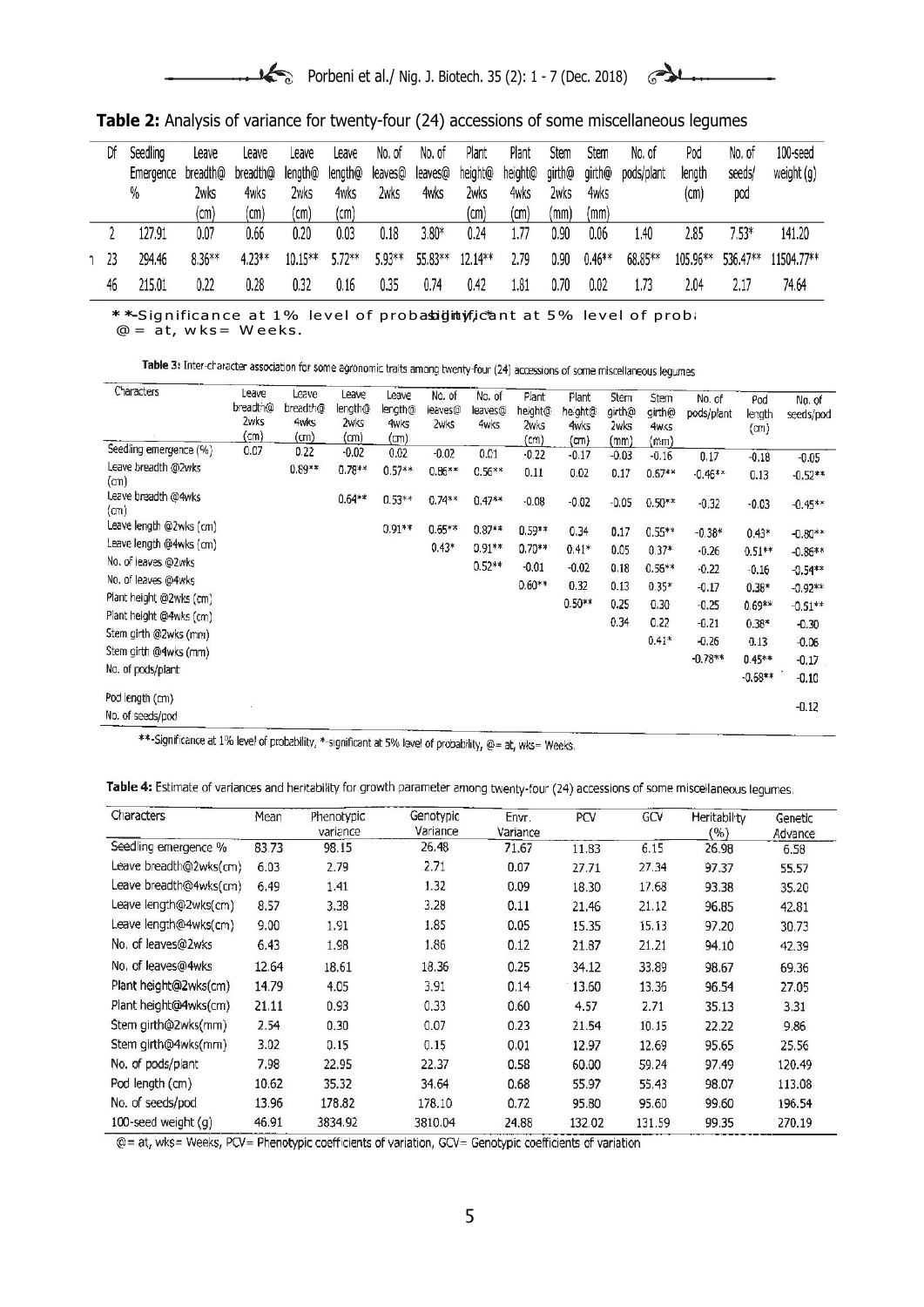$\rightarrow$ 

**Table 2:** Analysis of variance for twenty-four (24) accessions of some miscellaneous legumes

| Df              | Seedling  | Leave    | Leave    | Leave   | Leave   | No. of  | No. of  | Plant   | Plant   | Stem   | Stem     | No. of     | Pod      | No, of   | 100-seed   |
|-----------------|-----------|----------|----------|---------|---------|---------|---------|---------|---------|--------|----------|------------|----------|----------|------------|
|                 | Emergence | breadth@ | breadth@ | length@ | length@ | leaves@ | leaves@ | height@ | height@ | girth@ | qirth@   | pods/plant | length   | seeds/   | weight (g) |
|                 | $\%$      | 2wks     | 4wks     | 2wks    | 4wks    | 2wks    | 4wks    | 2wks    | 4wks    | 2wks   | 4wks     |            | (cm)     | pod      |            |
|                 |           | (cm)     | (cm)     | (cm)    | (cm)    |         |         | (cm)    | (cm)    | (mm)   | (mm)     |            |          |          |            |
|                 | 127.91    | 0.07     | 0.66     | 0.20    | 0.03    | 0.18    | $3.80*$ | 0.24    | 1.77    | 0.90   | 0.06     | 1.40       | 2.85     | $7.53*$  | 141.20     |
| 1 <sup>23</sup> | 294.46    | 8.36**   | 4.23 **  | 10.15** | 5.72**  | 5.93**  | 55.83** | 12.14** | 2.79    | 0.90   | $0.46**$ | 68.85**    | 105.96** | 536.47** | 11504.77** |
| 46              | 215.01    | 0.22     | 0.28     | 0.32    | 0.16    | 0.35    | 0.74    | 0.42    | 1.81    | 0.70   | 0.02     | 1.73       | 2.04     | 2.17     | 74.64      |

\*\*-Significance at 1% level of probasightyficant at 5% level of proba  $@ = 5t$ , wks= Weeks.

Table 3: Inter-character association for some agronomic traits among twenty-four (24) accessions of some miscellaneous legumes

| Characters                  | Leave<br>breadth@<br>2wks<br>(cm) | Leave<br>breadth@<br>4wks<br>(cm) | Leave<br>length@<br>2wks<br>(cm) | Leave<br>length@<br><b>4wks</b><br>(cm) | No. of<br>leaves@<br>2wks | No, of<br>leaves@<br>4wks | Plant<br>height@<br>2wks<br>(cm) | Plant<br>he ght@<br><b>4wks</b><br>(m) | <b>Stem</b><br>girth@<br>2wks<br>(mm) | <b>Stem</b><br>girth@<br>4w <sub>5</sub><br>(mm) | No. of<br>pods/plant | Pod<br>length<br>(m) | No. of<br>seeds/pod |
|-----------------------------|-----------------------------------|-----------------------------------|----------------------------------|-----------------------------------------|---------------------------|---------------------------|----------------------------------|----------------------------------------|---------------------------------------|--------------------------------------------------|----------------------|----------------------|---------------------|
| Seedling emergence (%)      | 0.07                              | 0.22                              | $-0.02$                          | 0.02                                    | $-0.02$                   | 0.01                      | $-0.22$                          | $-0.17$                                | $-0.03$                               | $-0.16$                                          | 0.17                 | $-0.18$              | $-0.05$             |
| Leave breadth @2wks<br>(m)  |                                   | $0.89**$                          | $0.78**$                         | $0.57**$                                | $0.86***$                 | $0.56**$                  | 0.11                             | 0.02                                   | 0.17                                  | $0.67**$                                         | $-0.46***$           | 0.13                 | $-0.52**$           |
| Leave breadth @4wks<br>(cm) |                                   |                                   | $0.64**$                         | $0.53**$                                | $0.74**$                  | $0.47**$                  | $-0.08$                          | $-0.02$                                | $-0.05$                               | $0.50**$                                         | $-0.32$              | $-0.03$              | $-0.45**$           |
| Leave length @2wks (cm)     |                                   |                                   |                                  | $0.91**$                                | $0.65**$                  | $0.87**$                  | $0.59**$                         | 0.34                                   | 0.17                                  | $0.55**$                                         | $-0.38*$             | $0.43*$              | $-0.80**$           |
| Leave length @4wks (cm)     |                                   |                                   |                                  |                                         | $0.43*$                   | $0.91**$                  | $0.70**$                         | $0.41*$                                | 0.05                                  | $0.37*$                                          | $-0.26$              | $0.51**$             | $-0.86**$           |
| No. of leaves @2wks         |                                   |                                   |                                  |                                         |                           | $0.52**$                  | $-0.01$                          | $-0.02$                                | 0.18                                  | $0.56**$                                         | $-0.22$              | $-0.16$              | $-0.54**$           |
| No. of leaves @4wks         |                                   |                                   |                                  |                                         |                           |                           | $0.60**$                         | 0.32                                   | 0.13                                  | $0.35*$                                          | $-0.17$              | $0.38*$              | $-0.92**$           |
| Plant height @2wks (cm)     |                                   |                                   |                                  |                                         |                           |                           |                                  | $0.50**$                               | 0.25                                  | 0.30                                             |                      |                      |                     |
| Plant height @4wks (cm)     |                                   |                                   |                                  |                                         |                           |                           |                                  |                                        |                                       |                                                  | $-0.25$              | $0.69**$             | $-0.51**$           |
| Stem girth @2wks (mm)       |                                   |                                   |                                  |                                         |                           |                           |                                  |                                        | 0.34                                  | 0.22                                             | $-0.21$              | $0.38*$              | $-0.30$             |
| Stem girth @4wks (mm)       |                                   |                                   |                                  |                                         |                           |                           |                                  |                                        |                                       | $0.41*$                                          | $-0.26$              | 0.13                 | $-0.06$             |
| No. of pods/plant           |                                   |                                   |                                  |                                         |                           |                           |                                  |                                        |                                       |                                                  | $-0.78**$            | $0.45**$             | $-0.17$             |
|                             |                                   |                                   |                                  |                                         |                           |                           |                                  |                                        |                                       |                                                  |                      | $-0.68**$            | $-0.10$             |
| Pod length (cm)             |                                   |                                   |                                  |                                         |                           |                           |                                  |                                        |                                       |                                                  |                      |                      | $-0.12$             |
| No. of seeds/pod            |                                   |                                   |                                  |                                         |                           |                           |                                  |                                        |                                       |                                                  |                      |                      |                     |

\*\*-Significance at 1% level of probability, \*-significant at 5% level of probability, @= at, wks= Weeks.

and the control

| Table 4: Estimate of variances and heritability for growth parameter among twenty-four (24) accessions of some miscellaneous lequmes |  |  |  |
|--------------------------------------------------------------------------------------------------------------------------------------|--|--|--|
|--------------------------------------------------------------------------------------------------------------------------------------|--|--|--|

| Characters                                                                                                   | Mean  | Phenotypic<br>variance | Genotypic<br>Variance | Envr.<br>Variance | PCV    | GCV    | Heritabil <sub>ty</sub><br>$(\%)$ | Genetic<br>Advance |
|--------------------------------------------------------------------------------------------------------------|-------|------------------------|-----------------------|-------------------|--------|--------|-----------------------------------|--------------------|
| Seedling emergence %                                                                                         | 83.73 | 98.15                  | 26.48                 | 71.67             | 11.83  | 6.15   | 26.98                             | 6.58               |
| Leave breadth@2wks(cm)                                                                                       | 6.03  | 2.79                   | 2.71                  | 0.07              | 27.71  | 27.34  | 97.37                             | 55.57              |
| Leave breadth@4wks(cm)                                                                                       | 6.49  | 1.41                   | 1.32                  | 0.09              | 18.30  | 17.68  | 93.38                             | 35.20              |
| Leave length@2wks(cm)                                                                                        | 8.57  | 3.38                   | 3.28                  | 0.11              | 21.46  | 21.12  | 96.85                             | 42.81              |
| Leave length@4wks(cm)                                                                                        | 9.00  | 1.91                   | 1.85                  | 0.05              | 15.35  | 15.13  | 97.20                             | 30.73              |
| No. of leaves@2wks                                                                                           | 6.43  | 1.98                   | 1.86                  | 0.12              | 21.87  | 21.21  | 94.10                             | 42.39              |
| No. of leaves@4wks                                                                                           | 12.64 | 18.61                  | 18.36                 | 0.25              | 34.12  | 33.89  | 98.67                             | 69.36              |
| Plant height@2wks(cm)                                                                                        | 14.79 | 4.05                   | 3.91                  | 0.14              | 13.60  | 13.36  | 96.54                             | 27.05              |
| Plant height@4wks(cm)                                                                                        | 21.11 | 0.93                   | 0.33                  | 0.60              | 4.57   | 2.71   | 35.13                             | 3.31               |
| Stem girth@2wks(mm)                                                                                          | 2.54  | 0.30                   | 0.07                  | 0.23              | 21.54  | 10.15  | 22.22                             | 9.86               |
| Stem girth@4wks(mm)                                                                                          | 3.02  | 0.15                   | 0.15                  | 0.01              | 12.97  | 12.69  | 95.65                             | 25.56              |
| No. of pods/plant                                                                                            | 7,98  | 22.95                  | 22.37                 | 0.58              | 60.00  | 59.24  | 97.49                             | 120.49             |
| Pod length (cm)                                                                                              | 10.62 | 35.32                  | 34.64                 | 0.68              | 55.97  | 55.43  | 98.07                             | 113.08             |
| No. of seeds/pod                                                                                             | 13.96 | 178.82                 | 178.10                | 0.72              | 95.80  | 95.60  | 99.60                             | 196.54             |
| 100-seed weight (g)<br><b>COMMA</b><br>A REPORT TO THE RESIDENCE OF PERSONAL PROPERTY CONTROL FOR A 24 YO F. | 46.91 | 3834.92                | 3810.04               | 24.88             | 132.02 | 131.59 | 99.35                             | 270.19             |

@= at, wks= Weeks, PCV= Phenotypic coefficients of variation, GCV= Genotypic coefficients of variation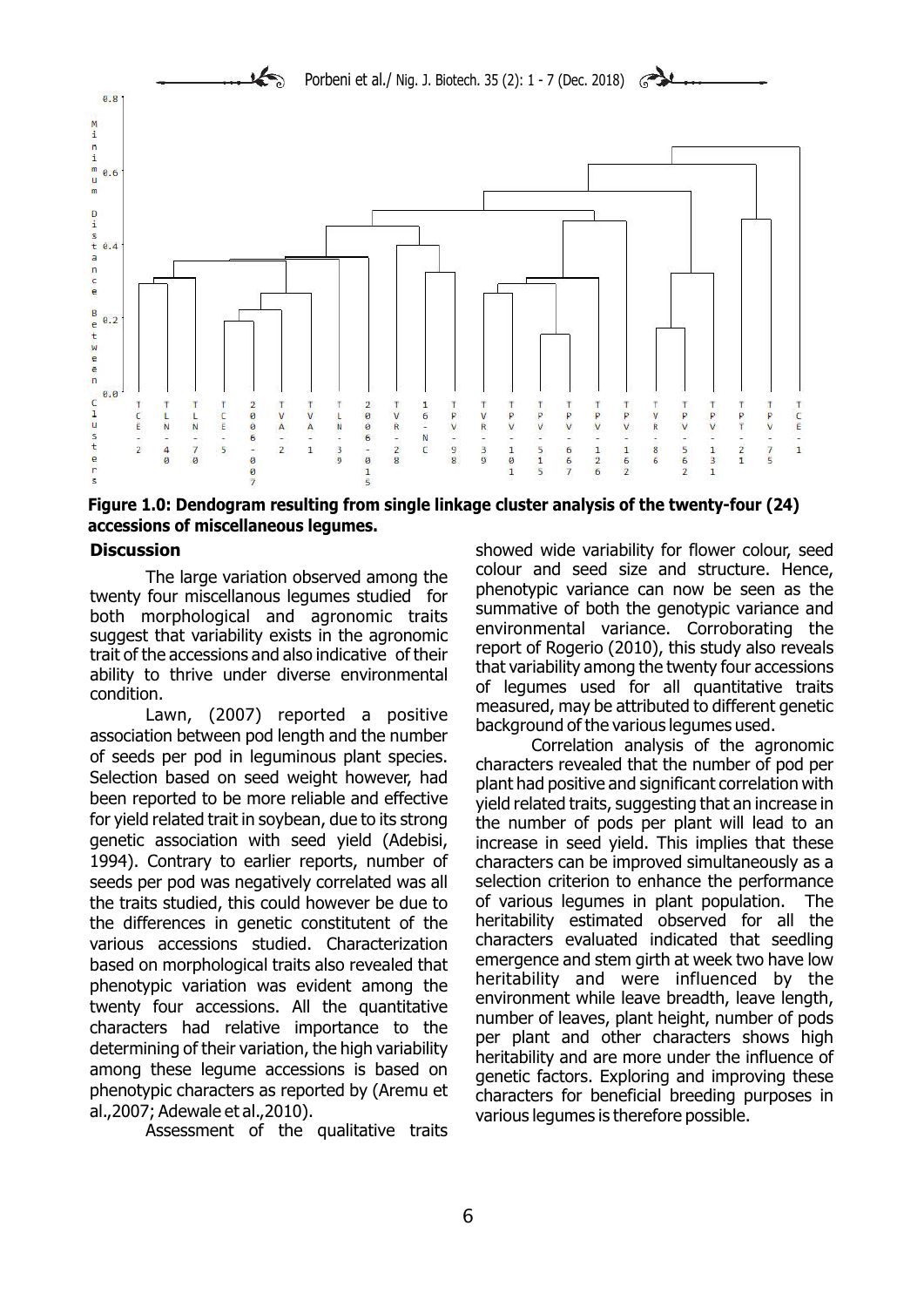

**Figure 1.0: Dendogram resulting from single linkage cluster analysis of the twenty-four (24) accessions of miscellaneous legumes.**

beection based on seed weight nowever, had<br>been reported to be more reliable and effective yield related traits, suggesting that an increase in<br>for yield related trait in soybean, due to its strong the number of pods per p for yield related trait in soybean, due to its strong the number of pods per plant will lead to an<br>The qenetic association with seed yield (Adebisi, the prease in seed vield. This implies that these 1994). Contrary to earlier reports, number of characters can be improved simultaneously as a seeds per pod was negatively correlated was all selection criterion to enhance the performance the traits studied, this could however be due to of various legumes in plant population. The the differences in genetic constitutent of the heritability estimated observed for all the the differences in genetic constitutent of the heritability estimated observed for all the<br>various accessions studied. Characterization characters evaluated indicated that seedling various accessions studied. Characterization characters evaluated indicated that seedling<br>hased on morphological traits also revealed that emergence and stem girth at week two have low based on morphological traits also revealed that comergence and stem girth at week two have low<br>phonotypic variation, was ovident among the cheritability and were influenced by the phenotypic variation was evident among the<br>twenty four accessions. All the quantitative<br>characters had relative importance to the<br>determining of their variation, the high variability<br>among these legume accessions is based among these legume accessions is based on a genetic factors. Exploring and improving these<br>phenotypic characters as reported by (Aremu et al., 2007; Adewale et al., 2010).

Assessment of the qualitative traits

**Discussion** showed wide variability for flower colour, seed The large variation observed among the<br>
tolour and seed size and structure. Hence,<br>
twenty four miscellanous legumes studied for<br>
both morphological and agronomic traits<br>
summative of both the genotypic variance and<br>
sugge

increase in seed yield. This implies that these various legumes is therefore possible.